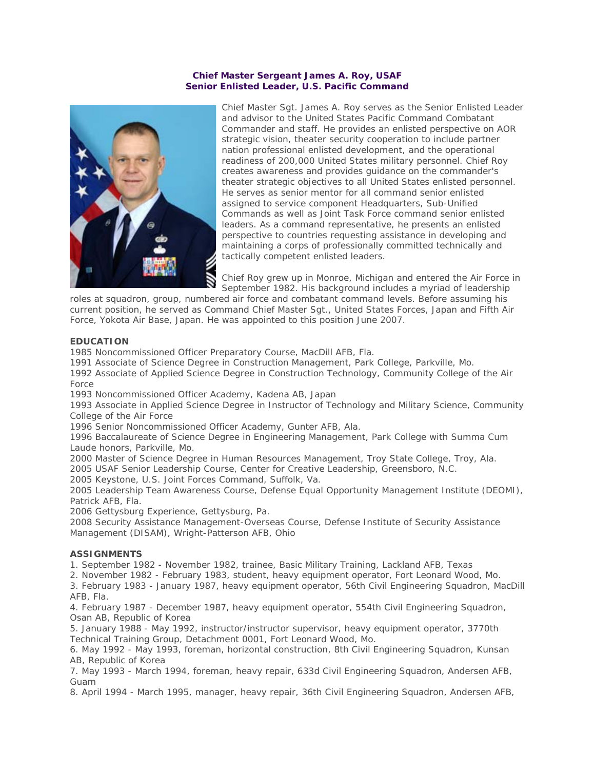# **Chief Master Sergeant James A. Roy, USAF Senior Enlisted Leader, U.S. Pacific Command**



Chief Master Sgt. James A. Roy serves as the Senior Enlisted Leader and advisor to the United States Pacific Command Combatant Commander and staff. He provides an enlisted perspective on AOR strategic vision, theater security cooperation to include partner nation professional enlisted development, and the operational readiness of 200,000 United States military personnel. Chief Roy creates awareness and provides guidance on the commander's theater strategic objectives to all United States enlisted personnel. He serves as senior mentor for all command senior enlisted assigned to service component Headquarters, Sub-Unified Commands as well as Joint Task Force command senior enlisted leaders. As a command representative, he presents an enlisted perspective to countries requesting assistance in developing and maintaining a corps of professionally committed technically and tactically competent enlisted leaders.

Chief Roy grew up in Monroe, Michigan and entered the Air Force in September 1982. His background includes a myriad of leadership

roles at squadron, group, numbered air force and combatant command levels. Before assuming his current position, he served as Command Chief Master Sgt., United States Forces, Japan and Fifth Air Force, Yokota Air Base, Japan. He was appointed to this position June 2007.

# **EDUCATION**

1985 Noncommissioned Officer Preparatory Course, MacDill AFB, Fla.

1991 Associate of Science Degree in Construction Management, Park College, Parkville, Mo.

1992 Associate of Applied Science Degree in Construction Technology, Community College of the Air Force

1993 Noncommissioned Officer Academy, Kadena AB, Japan

1993 Associate in Applied Science Degree in Instructor of Technology and Military Science, Community College of the Air Force

1996 Senior Noncommissioned Officer Academy, Gunter AFB, Ala.

1996 Baccalaureate of Science Degree in Engineering Management, Park College with Summa Cum Laude honors, Parkville, Mo.

2000 Master of Science Degree in Human Resources Management, Troy State College, Troy, Ala. 2005 USAF Senior Leadership Course, Center for Creative Leadership, Greensboro, N.C. 2005 Keystone, U.S. Joint Forces Command, Suffolk, Va.

2005 Leadership Team Awareness Course, Defense Equal Opportunity Management Institute (DEOMI), Patrick AFB, Fla.

2006 Gettysburg Experience, Gettysburg, Pa.

2008 Security Assistance Management-Overseas Course, Defense Institute of Security Assistance Management (DISAM), Wright-Patterson AFB, Ohio

# **ASSIGNMENTS**

1. September 1982 - November 1982, trainee, Basic Military Training, Lackland AFB, Texas

2. November 1982 - February 1983, student, heavy equipment operator, Fort Leonard Wood, Mo.

3. February 1983 - January 1987, heavy equipment operator, 56th Civil Engineering Squadron, MacDill AFB, Fla.

4. February 1987 - December 1987, heavy equipment operator, 554th Civil Engineering Squadron, Osan AB, Republic of Korea

5. January 1988 - May 1992, instructor/instructor supervisor, heavy equipment operator, 3770th Technical Training Group, Detachment 0001, Fort Leonard Wood, Mo.

6. May 1992 - May 1993, foreman, horizontal construction, 8th Civil Engineering Squadron, Kunsan AB, Republic of Korea

7. May 1993 - March 1994, foreman, heavy repair, 633d Civil Engineering Squadron, Andersen AFB, Guam

8. April 1994 - March 1995, manager, heavy repair, 36th Civil Engineering Squadron, Andersen AFB,